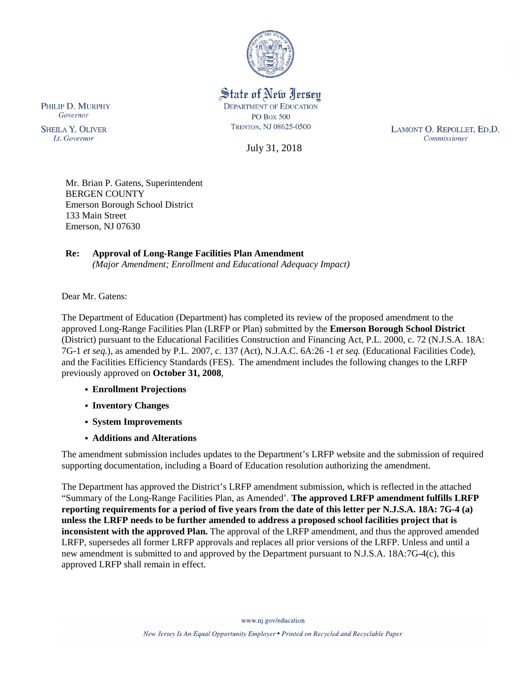

State of New Jersey **DEPARTMENT OF EDUCATION PO Box 500** TRENTON, NJ 08625-0500

July 31, 2018

LAMONT O. REPOLLET, ED.D. Commissioner

Mr. Brian P. Gatens, Superintendent BERGEN COUNTY Emerson Borough School District 133 Main Street Emerson, NJ 07630

# **Re: Approval of Long-Range Facilities Plan Amendment**

*(Major Amendment; Enrollment and Educational Adequacy Impact)*

Dear Mr. Gatens:

The Department of Education (Department) has completed its review of the proposed amendment to the approved Long-Range Facilities Plan (LRFP or Plan) submitted by the **Emerson Borough School District** (District) pursuant to the Educational Facilities Construction and Financing Act, P.L. 2000, c. 72 (N.J.S.A. 18A: 7G-1 *et seq.*), as amended by P.L. 2007, c. 137 (Act), N.J.A.C. 6A:26 -1 *et seq.* (Educational Facilities Code), and the Facilities Efficiency Standards (FES). The amendment includes the following changes to the LRFP previously approved on **October 31, 2008**,

- **Enrollment Projections**
- **Inventory Changes**
- **System Improvements**
- **Additions and Alterations**

The amendment submission includes updates to the Department's LRFP website and the submission of required supporting documentation, including a Board of Education resolution authorizing the amendment.

The Department has approved the District's LRFP amendment submission, which is reflected in the attached "Summary of the Long-Range Facilities Plan, as Amended'. **The approved LRFP amendment fulfills LRFP reporting requirements for a period of five years from the date of this letter per N.J.S.A. 18A: 7G-4 (a) unless the LRFP needs to be further amended to address a proposed school facilities project that is inconsistent with the approved Plan.** The approval of the LRFP amendment, and thus the approved amended LRFP, supersedes all former LRFP approvals and replaces all prior versions of the LRFP. Unless and until a new amendment is submitted to and approved by the Department pursuant to N.J.S.A. 18A:7G-4(c), this approved LRFP shall remain in effect.

PHILIP D. MURPHY Governor

**SHEILA Y. OLIVER** Lt. Governor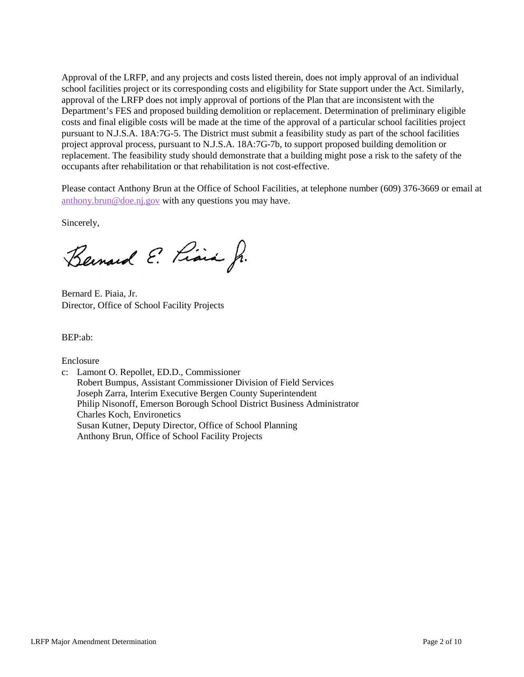Approval of the LRFP, and any projects and costs listed therein, does not imply approval of an individual school facilities project or its corresponding costs and eligibility for State support under the Act. Similarly, approval of the LRFP does not imply approval of portions of the Plan that are inconsistent with the Department's FES and proposed building demolition or replacement. Determination of preliminary eligible costs and final eligible costs will be made at the time of the approval of a particular school facilities project pursuant to N.J.S.A. 18A:7G-5. The District must submit a feasibility study as part of the school facilities project approval process, pursuant to N.J.S.A. 18A:7G-7b, to support proposed building demolition or replacement. The feasibility study should demonstrate that a building might pose a risk to the safety of the occupants after rehabilitation or that rehabilitation is not cost-effective.

Please contact Anthony Brun at the Office of School Facilities, at telephone number (609) 376-3669 or email at [anthony.brun@doe.nj.gov](mailto:anthony.brun@doe.nj.gov) with any questions you may have.

Sincerely,

Bernard E. Piara Jr.

Bernard E. Piaia, Jr. Director, Office of School Facility Projects

BEP:ab:

Enclosure

c: Lamont O. Repollet, ED.D., Commissioner Robert Bumpus, Assistant Commissioner Division of Field Services Joseph Zarra, Interim Executive Bergen County Superintendent Philip Nisonoff, Emerson Borough School District Business Administrator Charles Koch, Environetics Susan Kutner, Deputy Director, Office of School Planning Anthony Brun, Office of School Facility Projects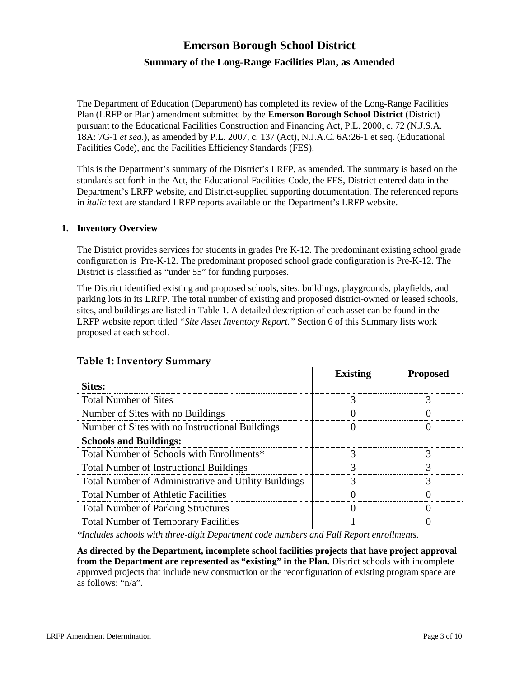# **Emerson Borough School District Summary of the Long-Range Facilities Plan, as Amended**

The Department of Education (Department) has completed its review of the Long-Range Facilities Plan (LRFP or Plan) amendment submitted by the **Emerson Borough School District** (District) pursuant to the Educational Facilities Construction and Financing Act, P.L. 2000, c. 72 (N.J.S.A. 18A: 7G-1 *et seq.*), as amended by P.L. 2007, c. 137 (Act), N.J.A.C. 6A:26-1 et seq. (Educational Facilities Code), and the Facilities Efficiency Standards (FES).

This is the Department's summary of the District's LRFP, as amended. The summary is based on the standards set forth in the Act, the Educational Facilities Code, the FES, District-entered data in the Department's LRFP website, and District-supplied supporting documentation. The referenced reports in *italic* text are standard LRFP reports available on the Department's LRFP website.

#### **1. Inventory Overview**

The District provides services for students in grades Pre K-12. The predominant existing school grade configuration is Pre-K-12. The predominant proposed school grade configuration is Pre-K-12. The District is classified as "under 55" for funding purposes.

The District identified existing and proposed schools, sites, buildings, playgrounds, playfields, and parking lots in its LRFP. The total number of existing and proposed district-owned or leased schools, sites, and buildings are listed in Table 1. A detailed description of each asset can be found in the LRFP website report titled *"Site Asset Inventory Report."* Section 6 of this Summary lists work proposed at each school.

|                                                      | <b>Existing</b> | <b>Proposed</b> |
|------------------------------------------------------|-----------------|-----------------|
| <b>Sites:</b>                                        |                 |                 |
| <b>Total Number of Sites</b>                         |                 |                 |
| Number of Sites with no Buildings                    |                 |                 |
| Number of Sites with no Instructional Buildings      |                 |                 |
| <b>Schools and Buildings:</b>                        |                 |                 |
| Total Number of Schools with Enrollments*            |                 |                 |
| <b>Total Number of Instructional Buildings</b>       |                 |                 |
| Total Number of Administrative and Utility Buildings |                 |                 |
| <b>Total Number of Athletic Facilities</b>           |                 |                 |
| <b>Total Number of Parking Structures</b>            |                 |                 |
| <b>Total Number of Temporary Facilities</b>          |                 |                 |

## **Table 1: Inventory Summary**

*\*Includes schools with three-digit Department code numbers and Fall Report enrollments.*

**As directed by the Department, incomplete school facilities projects that have project approval from the Department are represented as "existing" in the Plan.** District schools with incomplete approved projects that include new construction or the reconfiguration of existing program space are as follows: "n/a".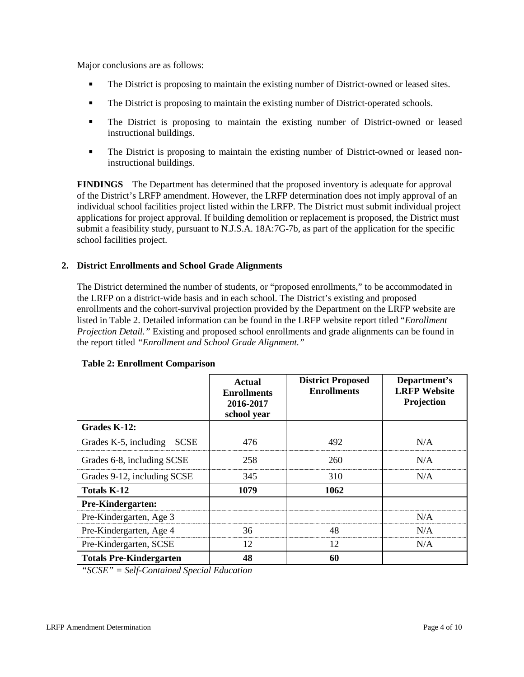Major conclusions are as follows:

- The District is proposing to maintain the existing number of District-owned or leased sites.
- **The District is proposing to maintain the existing number of District-operated schools.**
- The District is proposing to maintain the existing number of District-owned or leased instructional buildings.
- The District is proposing to maintain the existing number of District-owned or leased noninstructional buildings.

**FINDINGS** The Department has determined that the proposed inventory is adequate for approval of the District's LRFP amendment. However, the LRFP determination does not imply approval of an individual school facilities project listed within the LRFP. The District must submit individual project applications for project approval. If building demolition or replacement is proposed, the District must submit a feasibility study, pursuant to N.J.S.A. 18A:7G-7b, as part of the application for the specific school facilities project.

## **2. District Enrollments and School Grade Alignments**

The District determined the number of students, or "proposed enrollments," to be accommodated in the LRFP on a district-wide basis and in each school. The District's existing and proposed enrollments and the cohort-survival projection provided by the Department on the LRFP website are listed in Table 2. Detailed information can be found in the LRFP website report titled "*Enrollment Projection Detail."* Existing and proposed school enrollments and grade alignments can be found in the report titled *"Enrollment and School Grade Alignment."*

|                                      | <b>Actual</b><br><b>Enrollments</b><br>2016-2017<br>school year | <b>District Proposed</b><br><b>Enrollments</b> | Department's<br><b>LRFP</b> Website<br>Projection |
|--------------------------------------|-----------------------------------------------------------------|------------------------------------------------|---------------------------------------------------|
| Grades K-12:                         |                                                                 |                                                |                                                   |
| Grades K-5, including<br><b>SCSE</b> | 476                                                             | 492                                            | N/A                                               |
| Grades 6-8, including SCSE           | 258                                                             | 260                                            | N/A                                               |
| Grades 9-12, including SCSE          | 345                                                             | 310                                            | N/A                                               |
| Totals K-12                          | 1079                                                            | 1062                                           |                                                   |
| Pre-Kindergarten:                    |                                                                 |                                                |                                                   |
| Pre-Kindergarten, Age 3              |                                                                 |                                                | N/A                                               |
| Pre-Kindergarten, Age 4              | 36                                                              | 48                                             | N/A                                               |
| Pre-Kindergarten, SCSE               | 12                                                              | 12                                             | N/A                                               |
| <b>Totals Pre-Kindergarten</b>       | 48                                                              | 60                                             |                                                   |

#### **Table 2: Enrollment Comparison**

*"SCSE" = Self-Contained Special Education*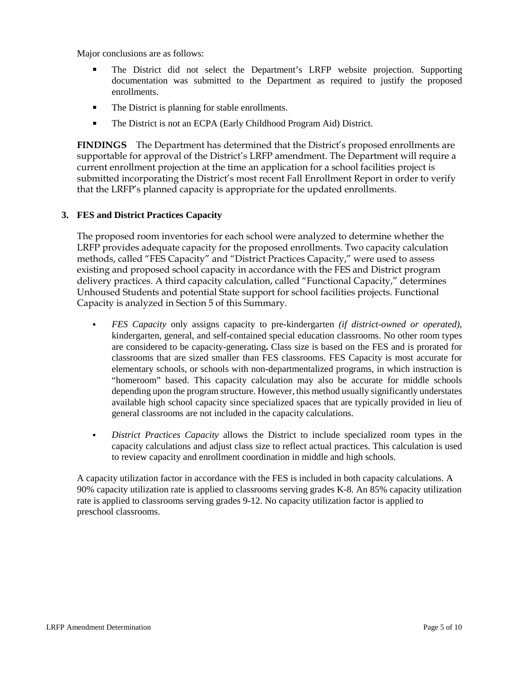Major conclusions are as follows:

- The District did not select the Department's LRFP website projection. Supporting documentation was submitted to the Department as required to justify the proposed enrollments.
- The District is planning for stable enrollments.
- The District is not an ECPA (Early Childhood Program Aid) District.

**FINDINGS** The Department has determined that the District's proposed enrollments are supportable for approval of the District's LRFP amendment. The Department will require a current enrollment projection at the time an application for a school facilities project is submitted incorporating the District's most recent Fall Enrollment Report in order to verify that the LRFP's planned capacity is appropriate for the updated enrollments.

#### **3. FES and District Practices Capacity**

The proposed room inventories for each school were analyzed to determine whether the LRFP provides adequate capacity for the proposed enrollments. Two capacity calculation methods, called "FES Capacity" and "District Practices Capacity," were used to assess existing and proposed school capacity in accordance with the FES and District program delivery practices. A third capacity calculation, called "Functional Capacity," determines Unhoused Students and potential State support for school facilities projects. Functional Capacity is analyzed in Section 5 of this Summary.

- *FES Capacity* only assigns capacity to pre-kindergarten *(if district-owned or operated),* kindergarten, general, and self-contained special education classrooms. No other room types are considered to be capacity-generating**.** Class size is based on the FES and is prorated for classrooms that are sized smaller than FES classrooms. FES Capacity is most accurate for elementary schools, or schools with non-departmentalized programs, in which instruction is "homeroom" based. This capacity calculation may also be accurate for middle schools depending upon the program structure. However, this method usually significantly understates available high school capacity since specialized spaces that are typically provided in lieu of general classrooms are not included in the capacity calculations.
- *District Practices Capacity* allows the District to include specialized room types in the capacity calculations and adjust class size to reflect actual practices. This calculation is used to review capacity and enrollment coordination in middle and high schools.

A capacity utilization factor in accordance with the FES is included in both capacity calculations. A 90% capacity utilization rate is applied to classrooms serving grades K-8. An 85% capacity utilization rate is applied to classrooms serving grades 9-12. No capacity utilization factor is applied to preschool classrooms.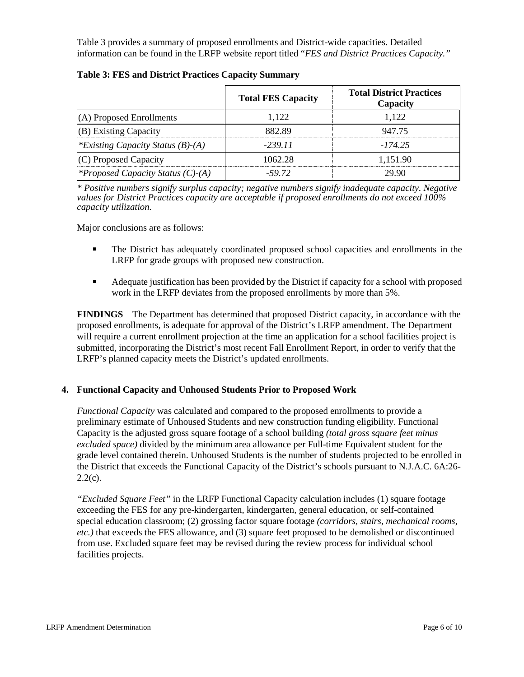Table 3 provides a summary of proposed enrollments and District-wide capacities. Detailed information can be found in the LRFP website report titled "*FES and District Practices Capacity."*

|                                          | <b>Total FES Capacity</b> | <b>Total District Practices</b><br>Capacity |
|------------------------------------------|---------------------------|---------------------------------------------|
| (A) Proposed Enrollments                 | 1.122                     | 1.122                                       |
| (B) Existing Capacity                    | 882.89                    | 947.75                                      |
| *Existing Capacity Status $(B)$ - $(A)$  | -239 11                   | -17425                                      |
| (C) Proposed Capacity                    | 1062.28                   | 1,151.90                                    |
| <i>*Proposed Capacity Status (C)-(A)</i> | -59.72                    | 29.90                                       |

|  |  |  |  |  | Table 3: FES and District Practices Capacity Summary |
|--|--|--|--|--|------------------------------------------------------|
|--|--|--|--|--|------------------------------------------------------|

*\* Positive numbers signify surplus capacity; negative numbers signify inadequate capacity. Negative values for District Practices capacity are acceptable if proposed enrollments do not exceed 100% capacity utilization.*

Major conclusions are as follows:

- **The District has adequately coordinated proposed school capacities and enrollments in the** LRFP for grade groups with proposed new construction.
- Adequate justification has been provided by the District if capacity for a school with proposed work in the LRFP deviates from the proposed enrollments by more than 5%.

**FINDINGS**The Department has determined that proposed District capacity, in accordance with the proposed enrollments, is adequate for approval of the District's LRFP amendment. The Department will require a current enrollment projection at the time an application for a school facilities project is submitted, incorporating the District's most recent Fall Enrollment Report, in order to verify that the LRFP's planned capacity meets the District's updated enrollments.

#### **4. Functional Capacity and Unhoused Students Prior to Proposed Work**

*Functional Capacity* was calculated and compared to the proposed enrollments to provide a preliminary estimate of Unhoused Students and new construction funding eligibility. Functional Capacity is the adjusted gross square footage of a school building *(total gross square feet minus excluded space)* divided by the minimum area allowance per Full-time Equivalent student for the grade level contained therein. Unhoused Students is the number of students projected to be enrolled in the District that exceeds the Functional Capacity of the District's schools pursuant to N.J.A.C. 6A:26-  $2.2(c)$ .

*"Excluded Square Feet"* in the LRFP Functional Capacity calculation includes (1) square footage exceeding the FES for any pre-kindergarten, kindergarten, general education, or self-contained special education classroom; (2) grossing factor square footage *(corridors, stairs, mechanical rooms, etc.)* that exceeds the FES allowance, and (3) square feet proposed to be demolished or discontinued from use. Excluded square feet may be revised during the review process for individual school facilities projects.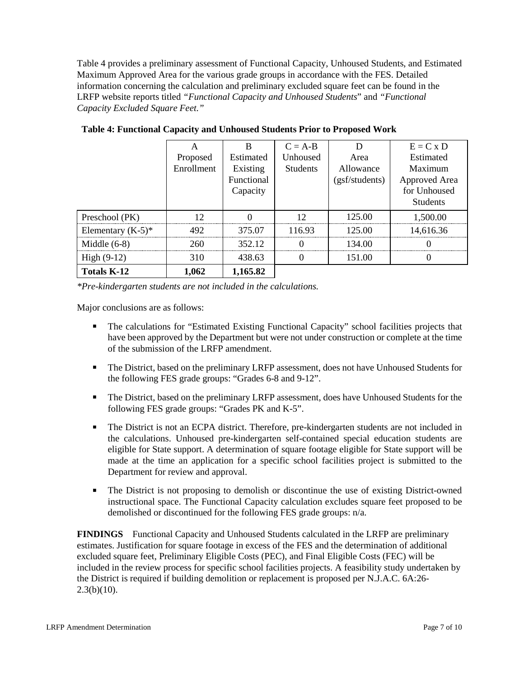Table 4 provides a preliminary assessment of Functional Capacity, Unhoused Students, and Estimated Maximum Approved Area for the various grade groups in accordance with the FES. Detailed information concerning the calculation and preliminary excluded square feet can be found in the LRFP website reports titled *"Functional Capacity and Unhoused Students*" and *"Functional Capacity Excluded Square Feet."*

|                      | А          | в          | $C = A-B$       |                | $E = C x D$     |
|----------------------|------------|------------|-----------------|----------------|-----------------|
|                      | Proposed   | Estimated  | Unhoused        | Area           | Estimated       |
|                      | Enrollment | Existing   | <b>Students</b> | Allowance      | Maximum         |
|                      |            | Functional |                 | (gsf/students) | Approved Area   |
|                      |            | Capacity   |                 |                | for Unhoused    |
|                      |            |            |                 |                | <b>Students</b> |
| Preschool (PK)       | 12         |            | 12              | 125.00         | 1,500.00        |
| Elementary $(K-5)^*$ | 492        | 375.07     | 116.93          | 125.00         | 14.616.36       |
| Middle $(6-8)$       | 260        | 352.12     |                 | 134.00         |                 |
| High $(9-12)$        | 310        | 438.63     |                 | 151.00         |                 |
| <b>Totals K-12</b>   | 1,062      | 1,165.82   |                 |                |                 |

**Table 4: Functional Capacity and Unhoused Students Prior to Proposed Work**

*\*Pre-kindergarten students are not included in the calculations.* 

Major conclusions are as follows:

- The calculations for "Estimated Existing Functional Capacity" school facilities projects that have been approved by the Department but were not under construction or complete at the time of the submission of the LRFP amendment.
- The District, based on the preliminary LRFP assessment, does not have Unhoused Students for the following FES grade groups: "Grades 6-8 and 9-12".
- The District, based on the preliminary LRFP assessment, does have Unhoused Students for the following FES grade groups: "Grades PK and K-5".
- The District is not an ECPA district. Therefore, pre-kindergarten students are not included in the calculations. Unhoused pre-kindergarten self-contained special education students are eligible for State support. A determination of square footage eligible for State support will be made at the time an application for a specific school facilities project is submitted to the Department for review and approval.
- The District is not proposing to demolish or discontinue the use of existing District-owned instructional space. The Functional Capacity calculation excludes square feet proposed to be demolished or discontinued for the following FES grade groups: n/a.

**FINDINGS** Functional Capacity and Unhoused Students calculated in the LRFP are preliminary estimates. Justification for square footage in excess of the FES and the determination of additional excluded square feet, Preliminary Eligible Costs (PEC), and Final Eligible Costs (FEC) will be included in the review process for specific school facilities projects. A feasibility study undertaken by the District is required if building demolition or replacement is proposed per N.J.A.C. 6A:26-  $2.3(b)(10)$ .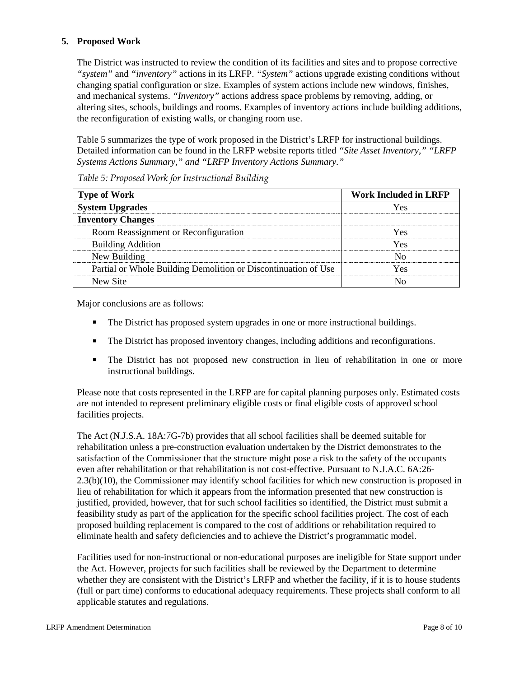## **5. Proposed Work**

The District was instructed to review the condition of its facilities and sites and to propose corrective *"system"* and *"inventory"* actions in its LRFP. *"System"* actions upgrade existing conditions without changing spatial configuration or size. Examples of system actions include new windows, finishes, and mechanical systems. *"Inventory"* actions address space problems by removing, adding, or altering sites, schools, buildings and rooms. Examples of inventory actions include building additions, the reconfiguration of existing walls, or changing room use.

Table 5 summarizes the type of work proposed in the District's LRFP for instructional buildings. Detailed information can be found in the LRFP website reports titled *"Site Asset Inventory," "LRFP Systems Actions Summary," and "LRFP Inventory Actions Summary."* 

| <b>Type of Work</b>                                            | Work Included in LRFP |
|----------------------------------------------------------------|-----------------------|
| <b>System Upgrades</b>                                         |                       |
| <b>Inventory Changes</b>                                       |                       |
| Room Reassignment or Reconfiguration                           | ∕ ⊖ ⊘                 |
| <b>Building Addition</b>                                       | Yec                   |
| New Building                                                   |                       |
| Partial or Whole Building Demolition or Discontinuation of Use |                       |
| New Site                                                       |                       |

*Table 5: Proposed Work for Instructional Building*

Major conclusions are as follows:

- The District has proposed system upgrades in one or more instructional buildings.
- The District has proposed inventory changes, including additions and reconfigurations.
- The District has not proposed new construction in lieu of rehabilitation in one or more instructional buildings.

Please note that costs represented in the LRFP are for capital planning purposes only. Estimated costs are not intended to represent preliminary eligible costs or final eligible costs of approved school facilities projects.

The Act (N.J.S.A. 18A:7G-7b) provides that all school facilities shall be deemed suitable for rehabilitation unless a pre-construction evaluation undertaken by the District demonstrates to the satisfaction of the Commissioner that the structure might pose a risk to the safety of the occupants even after rehabilitation or that rehabilitation is not cost-effective. Pursuant to N.J.A.C. 6A:26- 2.3(b)(10), the Commissioner may identify school facilities for which new construction is proposed in lieu of rehabilitation for which it appears from the information presented that new construction is justified, provided, however, that for such school facilities so identified, the District must submit a feasibility study as part of the application for the specific school facilities project. The cost of each proposed building replacement is compared to the cost of additions or rehabilitation required to eliminate health and safety deficiencies and to achieve the District's programmatic model.

Facilities used for non-instructional or non-educational purposes are ineligible for State support under the Act. However, projects for such facilities shall be reviewed by the Department to determine whether they are consistent with the District's LRFP and whether the facility, if it is to house students (full or part time) conforms to educational adequacy requirements. These projects shall conform to all applicable statutes and regulations.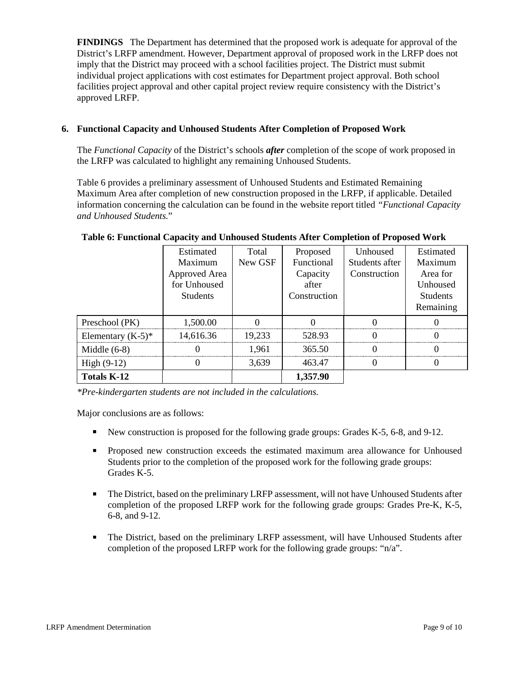**FINDINGS** The Department has determined that the proposed work is adequate for approval of the District's LRFP amendment. However, Department approval of proposed work in the LRFP does not imply that the District may proceed with a school facilities project. The District must submit individual project applications with cost estimates for Department project approval. Both school facilities project approval and other capital project review require consistency with the District's approved LRFP.

#### **6. Functional Capacity and Unhoused Students After Completion of Proposed Work**

The *Functional Capacity* of the District's schools *after* completion of the scope of work proposed in the LRFP was calculated to highlight any remaining Unhoused Students.

Table 6 provides a preliminary assessment of Unhoused Students and Estimated Remaining Maximum Area after completion of new construction proposed in the LRFP, if applicable. Detailed information concerning the calculation can be found in the website report titled *"Functional Capacity and Unhoused Students.*"

|                      | Estimated<br>Maximum<br>Approved Area<br>for Unhoused<br><b>Students</b> | Total<br>New GSF | Proposed<br>Functional<br>Capacity<br>after<br>Construction | <b>Unhoused</b><br>Students after<br>Construction | Estimated<br>Maximum<br>Area for<br>Unhoused<br><b>Students</b> |
|----------------------|--------------------------------------------------------------------------|------------------|-------------------------------------------------------------|---------------------------------------------------|-----------------------------------------------------------------|
|                      |                                                                          |                  |                                                             |                                                   | Remaining                                                       |
| Preschool (PK)       | 1,500.00                                                                 |                  |                                                             |                                                   |                                                                 |
| Elementary $(K-5)^*$ | 14,616.36                                                                | 19.233           | 528.93                                                      |                                                   |                                                                 |
| Middle $(6-8)$       |                                                                          | 1.961            | 365.50                                                      |                                                   |                                                                 |
| High $(9-12)$        |                                                                          | 3.639            | 463.47                                                      |                                                   |                                                                 |
| <b>Totals K-12</b>   |                                                                          |                  | 1,357.90                                                    |                                                   |                                                                 |

#### **Table 6: Functional Capacity and Unhoused Students After Completion of Proposed Work**

*\*Pre-kindergarten students are not included in the calculations.*

Major conclusions are as follows:

- New construction is proposed for the following grade groups: Grades K-5, 6-8, and 9-12.
- Proposed new construction exceeds the estimated maximum area allowance for Unhoused Students prior to the completion of the proposed work for the following grade groups: Grades K-5.
- The District, based on the preliminary LRFP assessment, will not have Unhoused Students after completion of the proposed LRFP work for the following grade groups: Grades Pre-K, K-5, 6-8, and 9-12.
- The District, based on the preliminary LRFP assessment, will have Unhoused Students after completion of the proposed LRFP work for the following grade groups: "n/a".